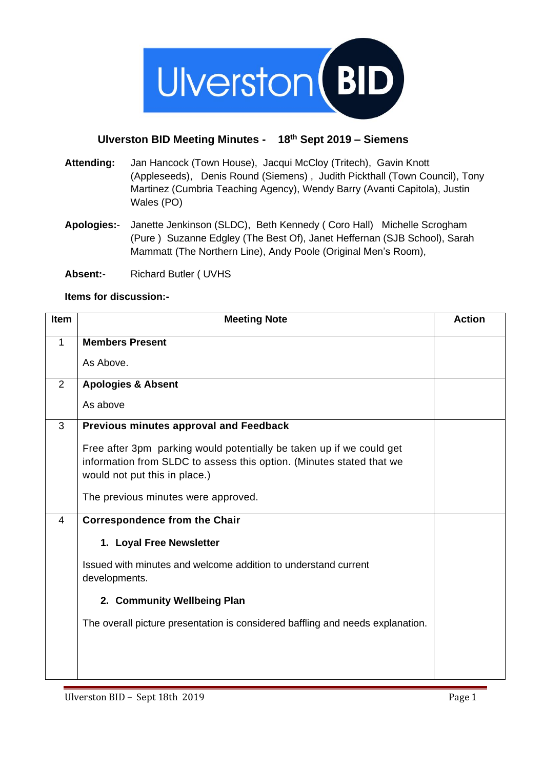

## **Ulverston BID Meeting Minutes - 18th Sept 2019 – Siemens**

- **Attending:** Jan Hancock (Town House), Jacqui McCloy (Tritech), Gavin Knott (Appleseeds), Denis Round (Siemens) , Judith Pickthall (Town Council), Tony Martinez (Cumbria Teaching Agency), Wendy Barry (Avanti Capitola), Justin Wales (PO)
- **Apologies:** Janette Jenkinson (SLDC), Beth Kennedy ( Coro Hall) Michelle Scrogham (Pure ) Suzanne Edgley (The Best Of), Janet Heffernan (SJB School), Sarah Mammatt (The Northern Line), Andy Poole (Original Men's Room),
- **Absent:** Richard Butler ( UVHS

## **Items for discussion:-**

| Item | <b>Meeting Note</b>                                                             | <b>Action</b> |
|------|---------------------------------------------------------------------------------|---------------|
| 1    | <b>Members Present</b>                                                          |               |
|      | As Above.                                                                       |               |
| 2    | <b>Apologies &amp; Absent</b>                                                   |               |
|      | As above                                                                        |               |
| 3    | Previous minutes approval and Feedback                                          |               |
|      | Free after 3pm parking would potentially be taken up if we could get            |               |
|      | information from SLDC to assess this option. (Minutes stated that we            |               |
|      | would not put this in place.)                                                   |               |
|      | The previous minutes were approved.                                             |               |
| 4    | <b>Correspondence from the Chair</b>                                            |               |
|      | 1. Loyal Free Newsletter                                                        |               |
|      | Issued with minutes and welcome addition to understand current<br>developments. |               |
|      | 2. Community Wellbeing Plan                                                     |               |
|      | The overall picture presentation is considered baffling and needs explanation.  |               |
|      |                                                                                 |               |
|      |                                                                                 |               |
|      |                                                                                 |               |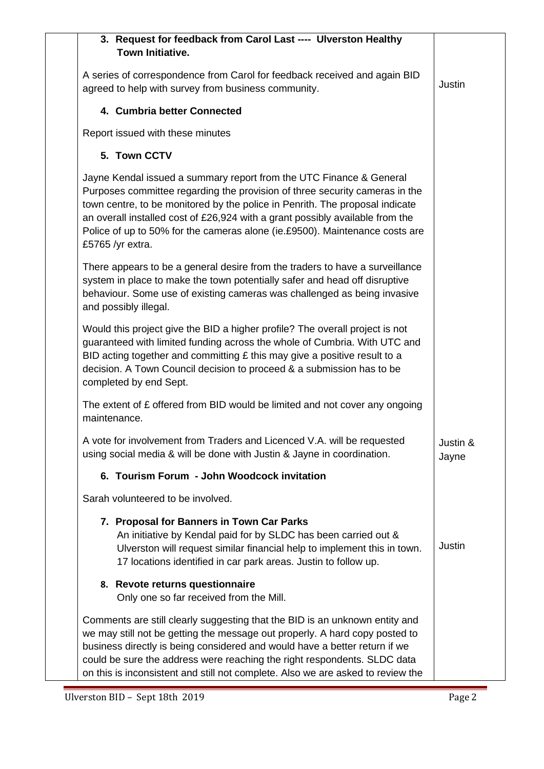| 3. Request for feedback from Carol Last ---- Ulverston Healthy<br><b>Town Initiative.</b>                                                                                                                                                                                                                                                                                                                              |                   |
|------------------------------------------------------------------------------------------------------------------------------------------------------------------------------------------------------------------------------------------------------------------------------------------------------------------------------------------------------------------------------------------------------------------------|-------------------|
| A series of correspondence from Carol for feedback received and again BID<br>agreed to help with survey from business community.                                                                                                                                                                                                                                                                                       | Justin            |
| 4. Cumbria better Connected                                                                                                                                                                                                                                                                                                                                                                                            |                   |
| Report issued with these minutes                                                                                                                                                                                                                                                                                                                                                                                       |                   |
| 5. Town CCTV                                                                                                                                                                                                                                                                                                                                                                                                           |                   |
| Jayne Kendal issued a summary report from the UTC Finance & General<br>Purposes committee regarding the provision of three security cameras in the<br>town centre, to be monitored by the police in Penrith. The proposal indicate<br>an overall installed cost of £26,924 with a grant possibly available from the<br>Police of up to 50% for the cameras alone (ie.£9500). Maintenance costs are<br>£5765 /yr extra. |                   |
| There appears to be a general desire from the traders to have a surveillance<br>system in place to make the town potentially safer and head off disruptive<br>behaviour. Some use of existing cameras was challenged as being invasive<br>and possibly illegal.                                                                                                                                                        |                   |
| Would this project give the BID a higher profile? The overall project is not<br>guaranteed with limited funding across the whole of Cumbria. With UTC and<br>BID acting together and committing $E$ this may give a positive result to a<br>decision. A Town Council decision to proceed & a submission has to be<br>completed by end Sept.                                                                            |                   |
| The extent of £ offered from BID would be limited and not cover any ongoing<br>maintenance.                                                                                                                                                                                                                                                                                                                            |                   |
| A vote for involvement from Traders and Licenced V.A. will be requested<br>using social media & will be done with Justin & Jayne in coordination.                                                                                                                                                                                                                                                                      | Justin &<br>Jayne |
| 6. Tourism Forum - John Woodcock invitation                                                                                                                                                                                                                                                                                                                                                                            |                   |
| Sarah volunteered to be involved.                                                                                                                                                                                                                                                                                                                                                                                      |                   |
| 7. Proposal for Banners in Town Car Parks<br>An initiative by Kendal paid for by SLDC has been carried out &<br>Ulverston will request similar financial help to implement this in town.<br>17 locations identified in car park areas. Justin to follow up.                                                                                                                                                            | Justin            |
| 8. Revote returns questionnaire<br>Only one so far received from the Mill.                                                                                                                                                                                                                                                                                                                                             |                   |
| Comments are still clearly suggesting that the BID is an unknown entity and<br>we may still not be getting the message out properly. A hard copy posted to<br>business directly is being considered and would have a better return if we<br>could be sure the address were reaching the right respondents. SLDC data<br>on this is inconsistent and still not complete. Also we are asked to review the                |                   |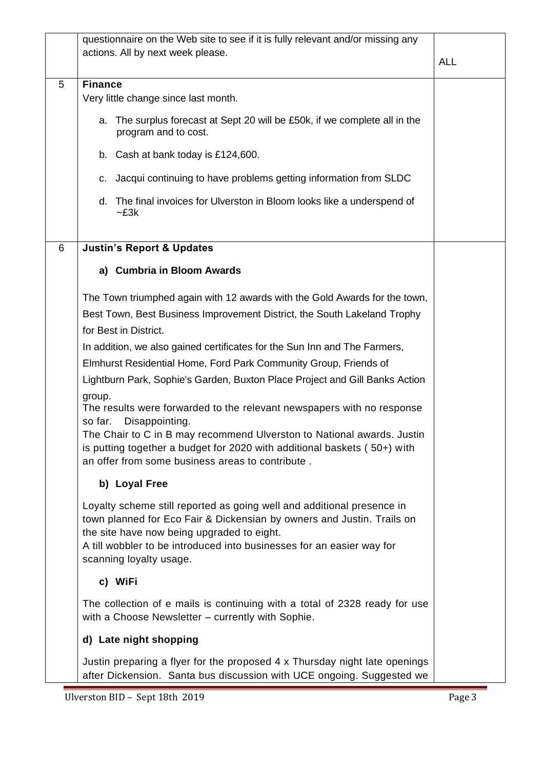|   | questionnaire on the Web site to see if it is fully relevant and/or missing any<br>actions. All by next week please.                                                                                                                                                                               | <b>ALL</b> |
|---|----------------------------------------------------------------------------------------------------------------------------------------------------------------------------------------------------------------------------------------------------------------------------------------------------|------------|
| 5 | <b>Finance</b>                                                                                                                                                                                                                                                                                     |            |
|   | Very little change since last month.                                                                                                                                                                                                                                                               |            |
|   | a. The surplus forecast at Sept 20 will be £50k, if we complete all in the<br>program and to cost.                                                                                                                                                                                                 |            |
|   | b. Cash at bank today is £124,600.                                                                                                                                                                                                                                                                 |            |
|   | c. Jacqui continuing to have problems getting information from SLDC                                                                                                                                                                                                                                |            |
|   | d. The final invoices for Ulverston in Bloom looks like a underspend of<br>$-E3k$                                                                                                                                                                                                                  |            |
| 6 | <b>Justin's Report &amp; Updates</b>                                                                                                                                                                                                                                                               |            |
|   | a) Cumbria in Bloom Awards                                                                                                                                                                                                                                                                         |            |
|   | The Town triumphed again with 12 awards with the Gold Awards for the town,                                                                                                                                                                                                                         |            |
|   | Best Town, Best Business Improvement District, the South Lakeland Trophy                                                                                                                                                                                                                           |            |
|   | for Best in District.                                                                                                                                                                                                                                                                              |            |
|   | In addition, we also gained certificates for the Sun Inn and The Farmers,                                                                                                                                                                                                                          |            |
|   | Elmhurst Residential Home, Ford Park Community Group, Friends of                                                                                                                                                                                                                                   |            |
|   | Lightburn Park, Sophie's Garden, Buxton Place Project and Gill Banks Action                                                                                                                                                                                                                        |            |
|   | group.<br>The results were forwarded to the relevant newspapers with no response<br>so far.<br>Disappointing.<br>The Chair to C in B may recommend Ulverston to National awards. Justin<br>is putting together a budget for 2020 with additional baskets (50+) with                                |            |
|   | an offer from some business areas to contribute.                                                                                                                                                                                                                                                   |            |
|   | b) Loyal Free                                                                                                                                                                                                                                                                                      |            |
|   | Loyalty scheme still reported as going well and additional presence in<br>town planned for Eco Fair & Dickensian by owners and Justin. Trails on<br>the site have now being upgraded to eight.<br>A till wobbler to be introduced into businesses for an easier way for<br>scanning loyalty usage. |            |
|   | c) WiFi                                                                                                                                                                                                                                                                                            |            |
|   | The collection of e mails is continuing with a total of 2328 ready for use<br>with a Choose Newsletter - currently with Sophie.                                                                                                                                                                    |            |
|   | d) Late night shopping                                                                                                                                                                                                                                                                             |            |
|   | Justin preparing a flyer for the proposed 4 x Thursday night late openings<br>after Dickension. Santa bus discussion with UCE ongoing. Suggested we                                                                                                                                                |            |